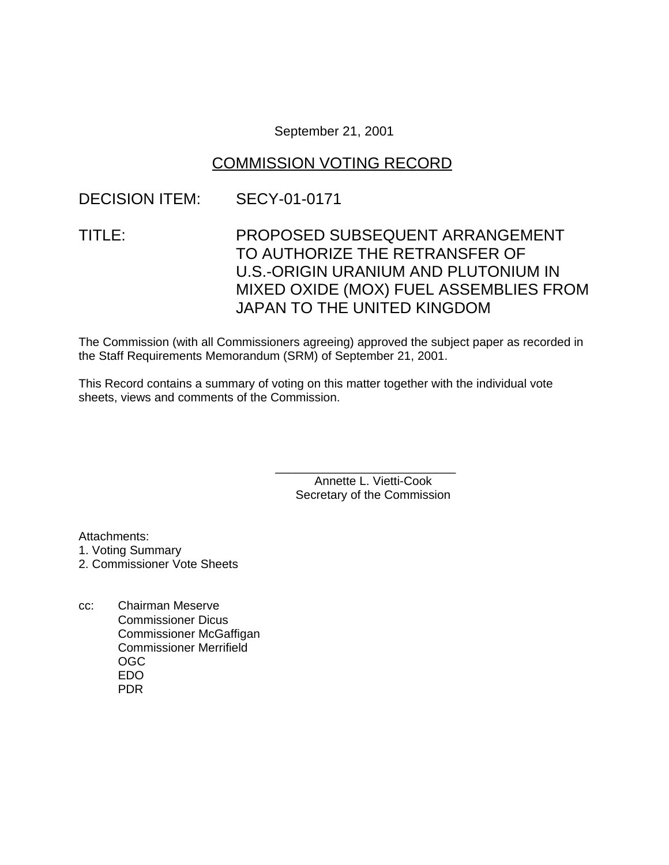#### September 21, 2001

### COMMISSION VOTING RECORD

### DECISION ITEM: SECY-01-0171

# TITLE: PROPOSED SUBSEQUENT ARRANGEMENT TO AUTHORIZE THE RETRANSFER OF U.S.-ORIGIN URANIUM AND PLUTONIUM IN MIXED OXIDE (MOX) FUEL ASSEMBLIES FROM JAPAN TO THE UNITED KINGDOM

The Commission (with all Commissioners agreeing) approved the subject paper as recorded in the Staff Requirements Memorandum (SRM) of September 21, 2001.

This Record contains a summary of voting on this matter together with the individual vote sheets, views and comments of the Commission.

> Annette L. Vietti-Cook Secretary of the Commission

\_\_\_\_\_\_\_\_\_\_\_\_\_\_\_\_\_\_\_\_\_\_\_\_\_\_\_

Attachments:

1. Voting Summary

2. Commissioner Vote Sheets

cc: Chairman Meserve Commissioner Dicus Commissioner McGaffigan Commissioner Merrifield OGC EDO PDR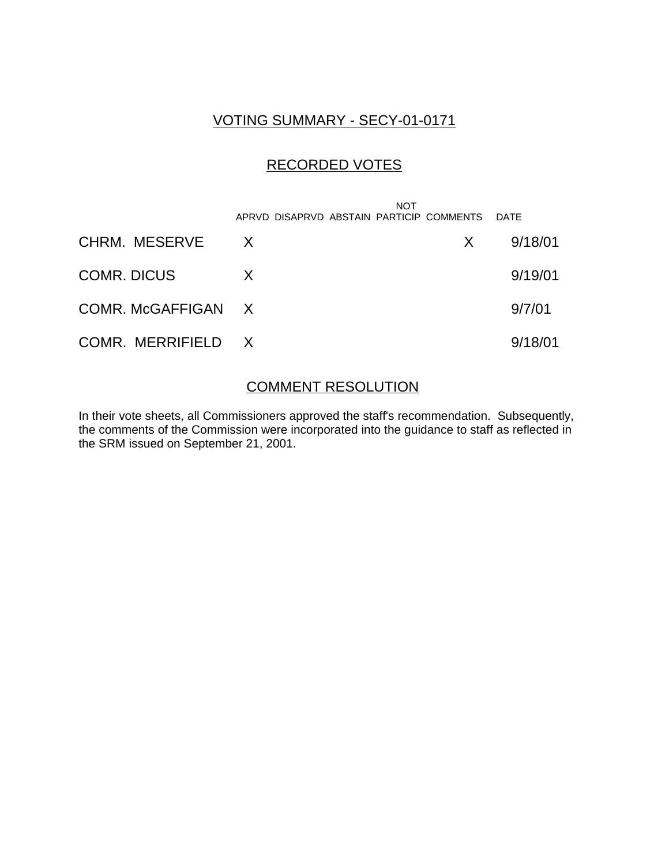### VOTING SUMMARY - SECY-01-0171

## RECORDED VOTES

|                    | NOT<br>APRVD DISAPRVD ABSTAIN PARTICIP COMMENTS DATE |    |         |
|--------------------|------------------------------------------------------|----|---------|
| CHRM. MESERVE      | $\mathsf{X}$                                         | X. | 9/18/01 |
| COMR. DICUS        | X                                                    |    | 9/19/01 |
| COMR. McGAFFIGAN X |                                                      |    | 9/7/01  |
| COMR. MERRIFIELD X |                                                      |    | 9/18/01 |

# COMMENT RESOLUTION

In their vote sheets, all Commissioners approved the staff's recommendation. Subsequently, the comments of the Commission were incorporated into the guidance to staff as reflected in the SRM issued on September 21, 2001.